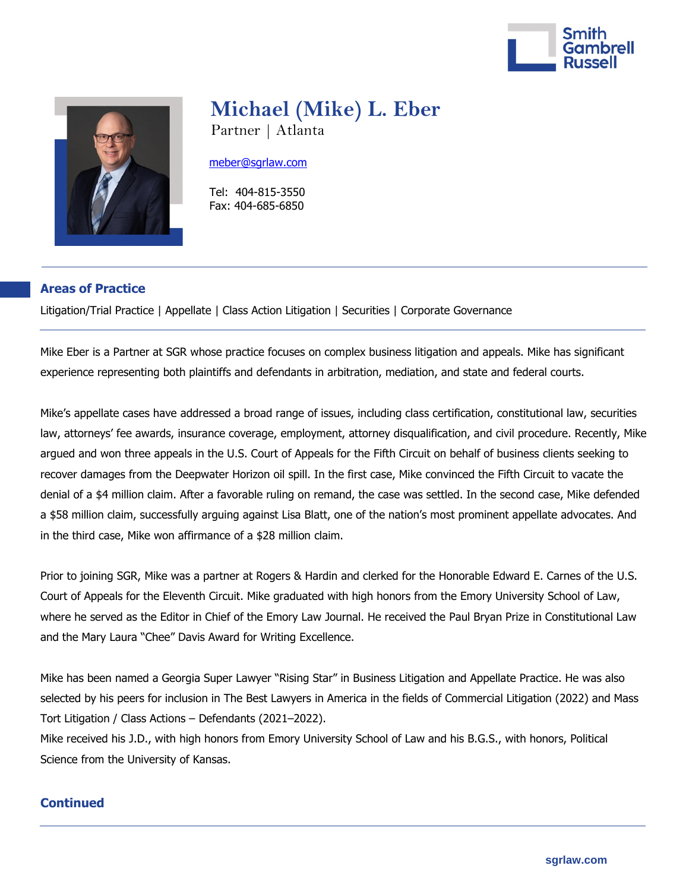



# **Michael (Mike) L. Eber**

Partner | Atlanta

#### [meber@sgrlaw.com](mailto:meber@sgrlaw.com)

 Tel: 404-815-3550 Fax: 404-685-6850

# **Areas of Practice**

Litigation/Trial Practice | Appellate | Class Action Litigation | Securities | Corporate Governance

Mike Eber is a Partner at SGR whose practice focuses on complex business litigation and appeals. Mike has significant experience representing both plaintiffs and defendants in arbitration, mediation, and state and federal courts.

Mike's appellate cases have addressed a broad range of issues, including class certification, constitutional law, securities law, attorneys' fee awards, insurance coverage, employment, attorney disqualification, and civil procedure. Recently, Mike argued and won three appeals in the U.S. Court of Appeals for the Fifth Circuit on behalf of business clients seeking to recover damages from the Deepwater Horizon oil spill. In the first case, Mike convinced the Fifth Circuit to vacate the denial of a \$4 million claim. After a favorable ruling on remand, the case was settled. In the second case, Mike defended a \$58 million claim, successfully arguing against Lisa Blatt, one of the nation's most prominent appellate advocates. And in the third case, Mike won affirmance of a \$28 million claim.

Prior to joining SGR, Mike was a partner at Rogers & Hardin and clerked for the Honorable Edward E. Carnes of the U.S. Court of Appeals for the Eleventh Circuit. Mike graduated with high honors from the Emory University School of Law, where he served as the Editor in Chief of the Emory Law Journal. He received the Paul Bryan Prize in Constitutional Law and the Mary Laura "Chee" Davis Award for Writing Excellence.

Mike has been named a Georgia Super Lawyer "Rising Star" in Business Litigation and Appellate Practice. He was also selected by his peers for inclusion in The Best Lawyers in America in the fields of Commercial Litigation (2022) and Mass Tort Litigation / Class Actions – Defendants (2021–2022).

Mike received his J.D., with high honors from Emory University School of Law and his B.G.S., with honors, Political Science from the University of Kansas.

# **Continued**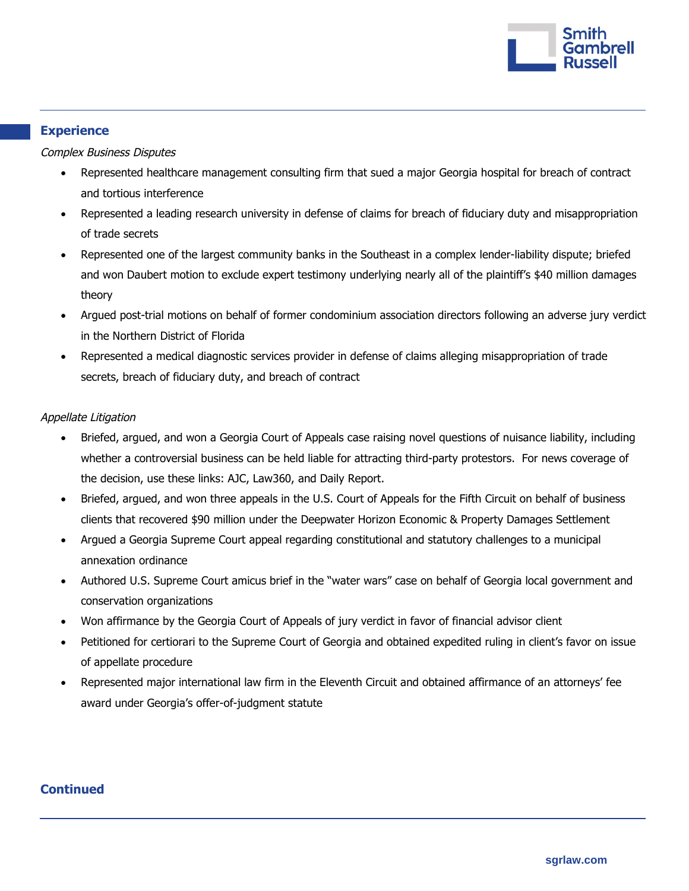

# **Experience**

Complex Business Disputes

- Represented healthcare management consulting firm that sued a major Georgia hospital for breach of contract and tortious interference
- Represented a leading research university in defense of claims for breach of fiduciary duty and misappropriation of trade secrets
- Represented one of the largest community banks in the Southeast in a complex lender-liability dispute; briefed and won Daubert motion to exclude expert testimony underlying nearly all of the plaintiff's \$40 million damages theory
- Argued post-trial motions on behalf of former condominium association directors following an adverse jury verdict in the Northern District of Florida
- Represented a medical diagnostic services provider in defense of claims alleging misappropriation of trade secrets, breach of fiduciary duty, and breach of contract

## Appellate Litigation

- Briefed, argued, and won a Georgia Court of Appeals case raising novel questions of nuisance liability, including whether a controversial business can be held liable for attracting third-party protestors. For news coverage of the decision, use these links: [AJC,](https://www.ajc.com/news/georgia-news/court-throws-out-14-million-verdict-against-marietta-abortion-clinic/6WVWFEI4IVE7JCZ2DSVWPZ372E/?outputType=amp) [Law360,](https://www.law360.com/articles/1393898/ga-judges-say-abortion-clinic-not-liable-for-protesters) and [Daily Report.](https://www.law.com/dailyreportonline/2021/06/16/court-of-appeals-tosses-1-4m-nuisance-verdict-against-abortion-clinic/)
- Briefed, argued, and won three appeals in the U.S. Court of Appeals for the Fifth Circuit on behalf of business clients that recovered \$90 million under the Deepwater Horizon Economic & Property Damages Settlement
- Argued a Georgia Supreme Court appeal regarding constitutional and statutory challenges to a municipal annexation ordinance
- Authored U.S. Supreme Court amicus brief in the "water wars" case on behalf of Georgia local government and conservation organizations
- Won affirmance by the Georgia Court of Appeals of jury verdict in favor of financial advisor client
- Petitioned for certiorari to the Supreme Court of Georgia and obtained expedited ruling in client's favor on issue of appellate procedure
- Represented major international law firm in the Eleventh Circuit and obtained affirmance of an attorneys' fee award under Georgia's offer-of-judgment statute

# **Continued**